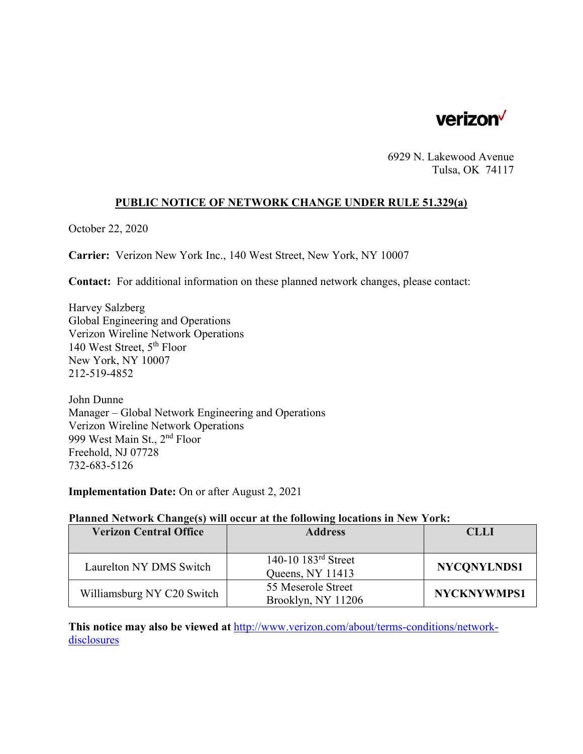

6929 N. Lakewood Avenue Tulsa, OK 74117

### **PUBLIC NOTICE OF NETWORK CHANGE UNDER RULE 51.329(a)**

October 22, 2020

**Carrier:** Verizon New York Inc., 140 West Street, New York, NY 10007

**Contact:** For additional information on these planned network changes, please contact:

Harvey Salzberg Global Engineering and Operations Verizon Wireline Network Operations 140 West Street, 5th Floor New York, NY 10007 212-519-4852

John Dunne Manager – Global Network Engineering and Operations Verizon Wireline Network Operations 999 West Main St., 2nd Floor Freehold, NJ 07728 732-683-5126

**Implementation Date:** On or after August 2, 2021

#### **Planned Network Change(s) will occur at the following locations in New York:**

| <b>Verizon Central Office</b> | <b>Address</b>                            | <b>CLLI</b>        |
|-------------------------------|-------------------------------------------|--------------------|
|                               |                                           |                    |
| Laurelton NY DMS Switch       | 140-10 $183rd$ Street<br>Queens, NY 11413 | NYCONYLNDS1        |
| Williamsburg NY C20 Switch    | 55 Meserole Street<br>Brooklyn, NY 11206  | <b>NYCKNYWMPS1</b> |

**This notice may also be viewed at** http://www.verizon.com/about/terms-conditions/networkdisclosures